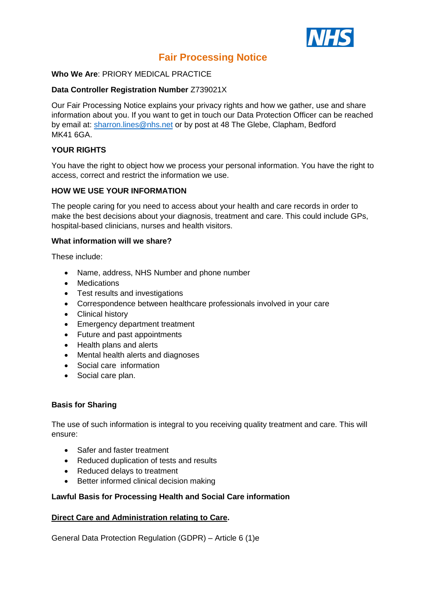

# **Fair Processing Notice**

#### **Who We Are**: PRIORY MEDICAL PRACTICE

### **Data Controller Registration Number** Z739021X

Our Fair Processing Notice explains your privacy rights and how we gather, use and share information about you. If you want to get in touch our Data Protection Officer can be reached by email at: [sharron.lines@nhs.net](mailto:sharron.lines@nhs.net) or by post at 48 The Glebe, Clapham, Bedford MK41 6GA.

## **YOUR RIGHTS**

You have the right to object how we process your personal information. You have the right to access, correct and restrict the information we use.

#### **HOW WE USE YOUR INFORMATION**

The people caring for you need to access about your health and care records in order to make the best decisions about your diagnosis, treatment and care. This could include GPs, hospital-based clinicians, nurses and health visitors.

#### **What information will we share?**

These include:

- Name, address, NHS Number and phone number
- Medications
- Test results and investigations
- Correspondence between healthcare professionals involved in your care
- Clinical history
- Emergency department treatment
- Future and past appointments
- Health plans and alerts
- Mental health alerts and diagnoses
- Social care information
- Social care plan.

#### **Basis for Sharing**

The use of such information is integral to you receiving quality treatment and care. This will ensure:

- Safer and faster treatment
- Reduced duplication of tests and results
- Reduced delays to treatment
- Better informed clinical decision making

#### **Lawful Basis for Processing Health and Social Care information**

#### **Direct Care and Administration relating to Care.**

General Data Protection Regulation (GDPR) – Article 6 (1)e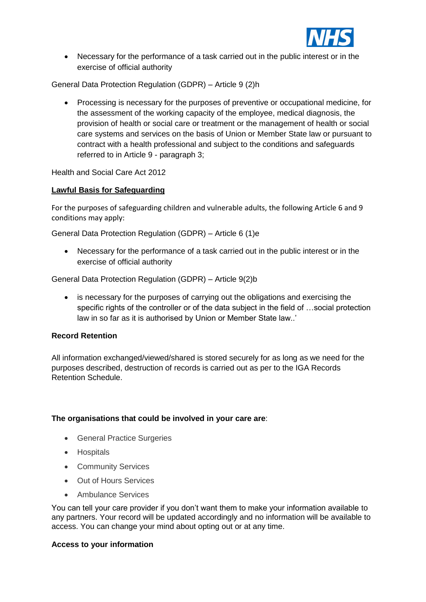

• Necessary for the performance of a task carried out in the public interest or in the exercise of official authority

General Data Protection Regulation (GDPR) – Article 9 (2)h

• Processing is necessary for the purposes of preventive or occupational medicine, for the assessment of the working capacity of the employee, medical diagnosis, the provision of health or social care or treatment or the management of health or social care systems and services on the basis of Union or Member State law or pursuant to contract with a health professional and subject to the conditions and safeguards referred to in Article 9 - paragraph 3;

Health and Social Care Act 2012

#### **Lawful Basis for Safeguarding**

For the purposes of safeguarding children and vulnerable adults, the following Article 6 and 9 conditions may apply:

General Data Protection Regulation (GDPR) – Article 6 (1)e

• Necessary for the performance of a task carried out in the public interest or in the exercise of official authority

General Data Protection Regulation (GDPR) – Article 9(2)b

• is necessary for the purposes of carrying out the obligations and exercising the specific rights of the controller or of the data subject in the field of …social protection law in so far as it is authorised by Union or Member State law..'

#### **Record Retention**

All information exchanged/viewed/shared is stored securely for as long as we need for the purposes described, destruction of records is carried out as per to the IGA Records Retention Schedule.

#### **The organisations that could be involved in your care are**:

- General Practice Surgeries
- Hospitals
- Community Services
- Out of Hours Services
- Ambulance Services

You can tell your care provider if you don't want them to make your information available to any partners. Your record will be updated accordingly and no information will be available to access. You can change your mind about opting out or at any time.

#### **Access to your information**